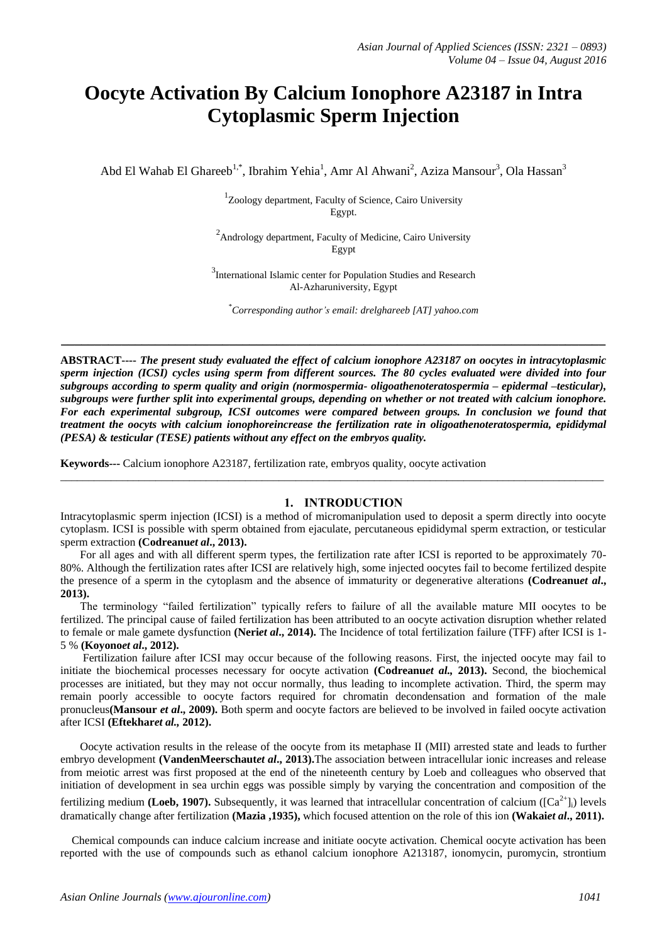# **Oocyte Activation By Calcium Ionophore A23187 in Intra Cytoplasmic Sperm Injection**

Abd El Wahab El Ghareeb<sup>1,\*</sup>, Ibrahim Yehia<sup>1</sup>, Amr Al Ahwani<sup>2</sup>, Aziza Mansour<sup>3</sup>, Ola Hassan<sup>3</sup>

<sup>1</sup>Zoology department, Faculty of Science, Cairo University Egypt.

<sup>2</sup> Andrology department, Faculty of Medicine, Cairo University Egypt

<sup>3</sup>International Islamic center for Population Studies and Research Al-Azharuniversity, Egypt

\**Corresponding author's email: drelghareeb [AT] yahoo.com*

**ABSTRACT----** *The present study evaluated the effect of calcium ionophore A23187 on oocytes in intracytoplasmic sperm injection (ICSI) cycles using sperm from different sources. The 80 cycles evaluated were divided into four subgroups according to sperm quality and origin (normospermia- oligoathenoteratospermia – epidermal –testicular), subgroups were further split into experimental groups, depending on whether or not treated with calcium ionophore. For each experimental subgroup, ICSI outcomes were compared between groups. In conclusion we found that treatment the oocyts with calcium ionophoreincrease the fertilization rate in oligoathenoteratospermia, epididymal (PESA) & testicular (TESE) patients without any effect on the embryos quality.* 

**\_\_\_\_\_\_\_\_\_\_\_\_\_\_\_\_\_\_\_\_\_\_\_\_\_\_\_\_\_\_\_\_\_\_\_\_\_\_\_\_\_\_\_\_\_\_\_\_\_\_\_\_\_\_\_\_\_\_\_\_\_\_\_\_\_\_\_\_\_\_\_\_\_\_\_\_\_\_\_\_\_**

**Keywords---** Calcium ionophore A23187, fertilization rate, embryos quality, oocyte activation

#### **1. INTRODUCTION**

Intracytoplasmic sperm injection (ICSI) is a method of micromanipulation used to deposit a sperm directly into oocyte cytoplasm. ICSI is possible with sperm obtained from ejaculate, percutaneous epididymal sperm extraction, or testicular sperm extraction **(Codreanu***et al***., 2013).**

\_\_\_\_\_\_\_\_\_\_\_\_\_\_\_\_\_\_\_\_\_\_\_\_\_\_\_\_\_\_\_\_\_\_\_\_\_\_\_\_\_\_\_\_\_\_\_\_\_\_\_\_\_\_\_\_\_\_\_\_\_\_\_\_\_\_\_\_\_\_\_\_\_\_\_\_\_\_\_\_\_\_\_\_\_\_\_\_\_\_\_\_\_\_\_\_\_

 For all ages and with all different sperm types, the fertilization rate after ICSI is reported to be approximately 70- 80%. Although the fertilization rates after ICSI are relatively high, some injected oocytes fail to become fertilized despite the presence of a sperm in the cytoplasm and the absence of immaturity or degenerative alterations **(Codreanu***et al***., 2013).**

 The terminology "failed fertilization" typically refers to failure of all the available mature MII oocytes to be fertilized. The principal cause of failed fertilization has been attributed to an oocyte activation disruption whether related to female or male gamete dysfunction **(Neri***et al***., 2014).** The Incidence of total fertilization failure (TFF) after ICSI is 1- 5 % **(Koyono***et al***., 2012).**

 Fertilization failure after ICSI may occur because of the following reasons. First, the injected oocyte may fail to initiate the biochemical processes necessary for oocyte activation **(Codreanu***et al.,* **2013).** Second, the biochemical processes are initiated, but they may not occur normally, thus leading to incomplete activation. Third, the sperm may remain poorly accessible to oocyte factors required for chromatin decondensation and formation of the male pronucleus**(Mansour** *et al***., 2009).** Both sperm and oocyte factors are believed to be involved in failed oocyte activation after ICSI **(Eftekhar***et al.,* **2012).**

 Oocyte activation results in the release of the oocyte from its metaphase II (MII) arrested state and leads to further embryo development **(VandenMeerschaut***et al***., 2013).**The association between intracellular ionic increases and release from meiotic arrest was first proposed at the end of the nineteenth century by Loeb and colleagues who observed that initiation of development in sea urchin eggs was possible simply by varying the concentration and composition of the fertilizing medium **(Loeb, 1907).** Subsequently, it was learned that intracellular concentration of calcium  $(\text{Ca}^{2+})$ ] levels dramatically change after fertilization **(Mazia ,1935),** which focused attention on the role of this ion **(Wakai***et al***., 2011).**

 Chemical compounds can induce calcium increase and initiate oocyte activation. Chemical oocyte activation has been reported with the use of compounds such as ethanol calcium ionophore A213187, ionomycin, puromycin, strontium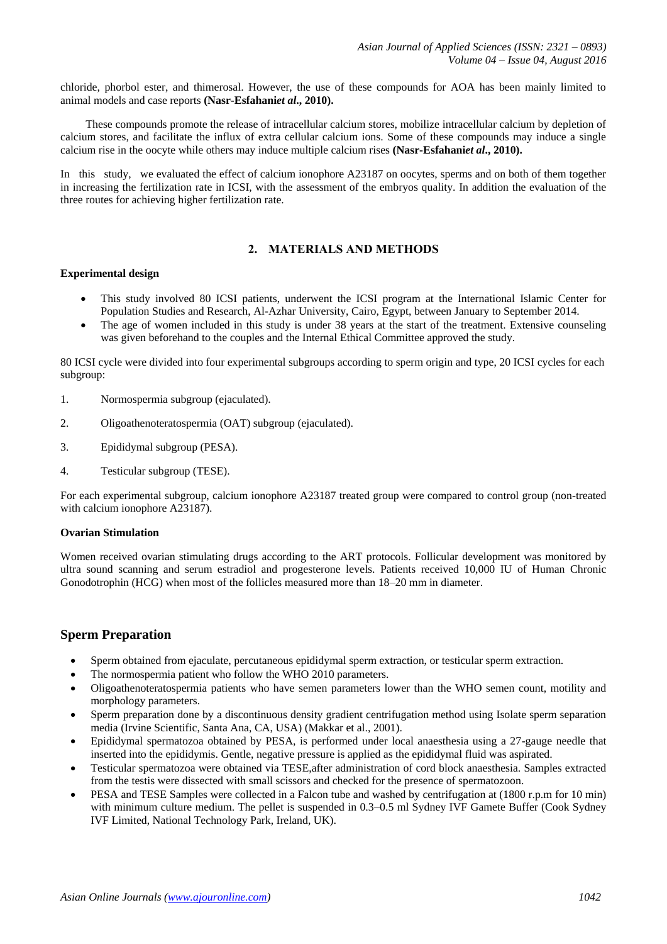chloride, phorbol ester, and thimerosal. However, the use of these compounds for AOA has been mainly limited to animal models and case reports **(Nasr-Esfahani***et al***., 2010).**

 These compounds promote the release of intracellular calcium stores, mobilize intracellular calcium by depletion of calcium stores, and facilitate the influx of extra cellular calcium ions. Some of these compounds may induce a single calcium rise in the oocyte while others may induce multiple calcium rises **(Nasr-Esfahani***et al***., 2010).**

In this study, we evaluated the effect of calcium ionophore A23187 on oocytes, sperms and on both of them together in increasing the fertilization rate in ICSI, with the assessment of the embryos quality. In addition the evaluation of the three routes for achieving higher fertilization rate.

### **2. MATERIALS AND METHODS**

#### **Experimental design**

- This study involved 80 ICSI patients, underwent the ICSI program at the International Islamic Center for Population Studies and Research, Al-Azhar University, Cairo, Egypt, between January to September 2014.
- The age of women included in this study is under 38 years at the start of the treatment. Extensive counseling was given beforehand to the couples and the Internal Ethical Committee approved the study.

80 ICSI cycle were divided into four experimental subgroups according to sperm origin and type, 20 ICSI cycles for each subgroup:

- 1. Normospermia subgroup (ejaculated).
- 2. Oligoathenoteratospermia (OAT) subgroup (ejaculated).
- 3. Epididymal subgroup (PESA).
- 4. Testicular subgroup (TESE).

For each experimental subgroup, calcium ionophore A23187 treated group were compared to control group (non-treated with calcium ionophore A23187).

#### **Ovarian Stimulation**

Women received ovarian stimulating drugs according to the ART protocols. Follicular development was monitored by ultra sound scanning and serum estradiol and progesterone levels. Patients received 10,000 IU of Human Chronic Gonodotrophin (HCG) when most of the follicles measured more than 18–20 mm in diameter.

# **Sperm Preparation**

- Sperm obtained from ejaculate, percutaneous epididymal sperm extraction, or testicular sperm extraction.
- The normospermia patient who follow the WHO 2010 parameters.
- Oligoathenoteratospermia patients who have semen parameters lower than the WHO semen count, motility and morphology parameters.
- Sperm preparation done by a discontinuous density gradient centrifugation method using Isolate sperm separation media (Irvine Scientific, Santa Ana, CA, USA) (Makkar et al., 2001).
- Epididymal spermatozoa obtained by PESA, is performed under local anaesthesia using a 27-gauge needle that inserted into the epididymis. Gentle, negative pressure is applied as the epididymal fluid was aspirated.
- Testicular spermatozoa were obtained via TESE,after administration of cord block anaesthesia. Samples extracted from the testis were dissected with small scissors and checked for the presence of spermatozoon.
- PESA and TESE Samples were collected in a Falcon tube and washed by centrifugation at (1800 r.p.m for 10 min) with minimum culture medium. The pellet is suspended in 0.3–0.5 ml Sydney IVF Gamete Buffer (Cook Sydney IVF Limited, National Technology Park, Ireland, UK).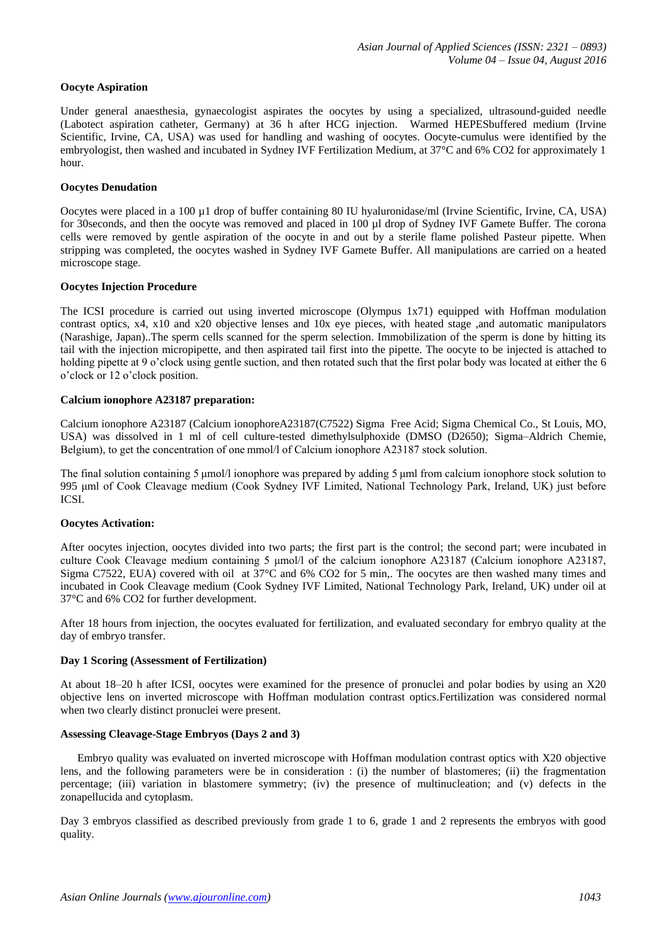#### **Oocyte Aspiration**

Under general anaesthesia, gynaecologist aspirates the oocytes by using a specialized, ultrasound-guided needle (Labotect aspiration catheter, Germany) at 36 h after HCG injection. Warmed HEPESbuffered medium (Irvine Scientific, Irvine, CA, USA) was used for handling and washing of oocytes. Oocyte-cumulus were identified by the embryologist, then washed and incubated in Sydney IVF Fertilization Medium, at 37°C and 6% CO2 for approximately 1 hour.

#### **Oocytes Denudation**

Oocytes were placed in a 100 µ1 drop of buffer containing 80 IU hyaluronidase/ml (Irvine Scientific, Irvine, CA, USA) for 30seconds, and then the oocyte was removed and placed in 100 µl drop of Sydney IVF Gamete Buffer. The corona cells were removed by gentle aspiration of the oocyte in and out by a sterile flame polished Pasteur pipette. When stripping was completed, the oocytes washed in Sydney IVF Gamete Buffer. All manipulations are carried on a heated microscope stage.

#### **Oocytes Injection Procedure**

The ICSI procedure is carried out using inverted microscope (Olympus 1x71) equipped with Hoffman modulation contrast optics, x4, x10 and x20 objective lenses and 10x eye pieces, with heated stage ,and automatic manipulators (Narashige, Japan)..The sperm cells scanned for the sperm selection. Immobilization of the sperm is done by hitting its tail with the injection micropipette, and then aspirated tail first into the pipette. The oocyte to be injected is attached to holding pipette at 9 o'clock using gentle suction, and then rotated such that the first polar body was located at either the 6 o"clock or 12 o"clock position.

#### **Calcium ionophore A23187 preparation:**

Calcium ionophore A23187 (Calcium ionophoreA23187(C7522) Sigma Free Acid; Sigma Chemical Co., St Louis, MO, USA) was dissolved in 1 ml of cell culture-tested dimethylsulphoxide (DMSO (D2650); Sigma–Aldrich Chemie, Belgium), to get the concentration of one mmol/l of Calcium ionophore A23187 stock solution.

The final solution containing 5 μmol/l ionophore was prepared by adding 5 μml from calcium ionophore stock solution to 995 μml of Cook Cleavage medium (Cook Sydney IVF Limited, National Technology Park, Ireland, UK) just before ICSI.

#### **Oocytes Activation:**

After oocytes injection, oocytes divided into two parts; the first part is the control; the second part; were incubated in culture Cook Cleavage medium containing 5 μmol/l of the calcium ionophore A23187 (Calcium ionophore A23187, Sigma C7522, EUA) covered with oil at 37°C and 6% CO2 for 5 min,. The oocytes are then washed many times and incubated in Cook Cleavage medium (Cook Sydney IVF Limited, National Technology Park, Ireland, UK) under oil at 37°C and 6% CO2 for further development.

After 18 hours from injection, the oocytes evaluated for fertilization, and evaluated secondary for embryo quality at the day of embryo transfer.

#### **Day 1 Scoring (Assessment of Fertilization)**

At about 18–20 h after ICSI, oocytes were examined for the presence of pronuclei and polar bodies by using an X20 objective lens on inverted microscope with Hoffman modulation contrast optics.Fertilization was considered normal when two clearly distinct pronuclei were present.

#### **Assessing Cleavage-Stage Embryos (Days 2 and 3)**

 Embryo quality was evaluated on inverted microscope with Hoffman modulation contrast optics with X20 objective lens, and the following parameters were be in consideration : (i) the number of blastomeres; (ii) the fragmentation percentage; (iii) variation in blastomere symmetry; (iv) the presence of multinucleation; and (v) defects in the zonapellucida and cytoplasm.

Day 3 embryos classified as described previously from grade 1 to 6, grade 1 and 2 represents the embryos with good quality.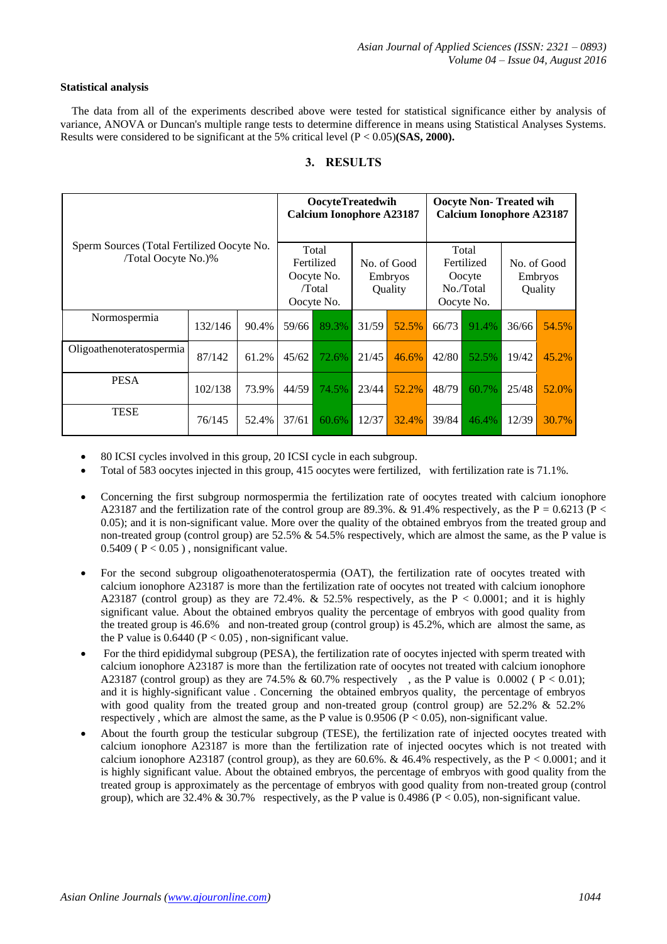#### **Statistical analysis**

 The data from all of the experiments described above were tested for statistical significance either by analysis of variance, ANOVA or Duncan's multiple range tests to determine difference in means using Statistical Analyses Systems. Results were considered to be significant at the 5% critical level (P < 0.05)**(SAS, 2000).** 

## **3. RESULTS**

| Sperm Sources (Total Fertilized Oocyte No.<br>/Total Oocyte No.)% |         |       | OocyteTreatedwih<br><b>Calcium Ionophore A23187</b>       |       |                                   |       | <b>Oocyte Non-Treated wih</b><br><b>Calcium Ionophore A23187</b> |       |                                   |       |
|-------------------------------------------------------------------|---------|-------|-----------------------------------------------------------|-------|-----------------------------------|-------|------------------------------------------------------------------|-------|-----------------------------------|-------|
|                                                                   |         |       | Total<br>Fertilized<br>Oocyte No.<br>/Total<br>Oocyte No. |       | No. of Good<br>Embryos<br>Quality |       | Total<br>Fertilized<br>Oocyte<br>No./Total<br>Oocyte No.         |       | No. of Good<br>Embryos<br>Quality |       |
| Normospermia                                                      | 132/146 | 90.4% | 59/66                                                     | 89.3% | 31/59                             | 52.5% | 66/73                                                            | 91.4% | 36/66                             | 54.5% |
| Oligoathenoteratospermia                                          | 87/142  | 61.2% | 45/62                                                     | 72.6% | 21/45                             | 46.6% | 42/80                                                            | 52.5% | 19/42                             | 45.2% |
| <b>PESA</b>                                                       | 102/138 | 73.9% | 44/59                                                     | 74.5% | 23/44                             | 52.2% | 48/79                                                            | 60.7% | 25/48                             | 52.0% |
| <b>TESE</b>                                                       | 76/145  | 52.4% | 37/61                                                     | 60.6% | 12/37                             | 32.4% | 39/84                                                            | 46.4% | 12/39                             | 30.7% |

- 80 ICSI cycles involved in this group, 20 ICSI cycle in each subgroup.
- Total of 583 oocytes injected in this group, 415 oocytes were fertilized, with fertilization rate is 71.1%.
- Concerning the first subgroup normospermia the fertilization rate of oocytes treated with calcium ionophore A23187 and the fertilization rate of the control group are 89.3%. & 91.4% respectively, as the P = 0.6213 (P < 0.05); and it is non-significant value. More over the quality of the obtained embryos from the treated group and non-treated group (control group) are 52.5% & 54.5% respectively, which are almost the same, as the P value is  $0.5409$  ( $P < 0.05$ ), nonsignificant value.
- For the second subgroup oligoathenoteratospermia (OAT), the fertilization rate of oocytes treated with calcium ionophore A23187 is more than the fertilization rate of oocytes not treated with calcium ionophore A23187 (control group) as they are 72.4%. & 52.5% respectively, as the  $P < 0.0001$ ; and it is highly significant value. About the obtained embryos quality the percentage of embryos with good quality from the treated group is 46.6% and non-treated group (control group) is 45.2%, which are almost the same, as the P value is  $0.6440$  (P < 0.05), non-significant value.
- For the third epididymal subgroup (PESA), the fertilization rate of oocytes injected with sperm treated with calcium ionophore A23187 is more than the fertilization rate of oocytes not treated with calcium ionophore A23187 (control group) as they are 74.5% & 60.7% respectively , as the P value is 0.0002 ( $P < 0.01$ ); and it is highly-significant value . Concerning the obtained embryos quality, the percentage of embryos with good quality from the treated group and non-treated group (control group) are 52.2% & 52.2% respectively, which are almost the same, as the P value is  $0.9506$  ( $P < 0.05$ ), non-significant value.
- About the fourth group the testicular subgroup (TESE), the fertilization rate of injected oocytes treated with calcium ionophore A23187 is more than the fertilization rate of injected oocytes which is not treated with calcium ionophore A23187 (control group), as they are 60.6%. & 46.4% respectively, as the  $P < 0.0001$ ; and it is highly significant value. About the obtained embryos, the percentage of embryos with good quality from the treated group is approximately as the percentage of embryos with good quality from non-treated group (control group), which are 32.4% & 30.7% respectively, as the P value is 0.4986 ( $P < 0.05$ ), non-significant value.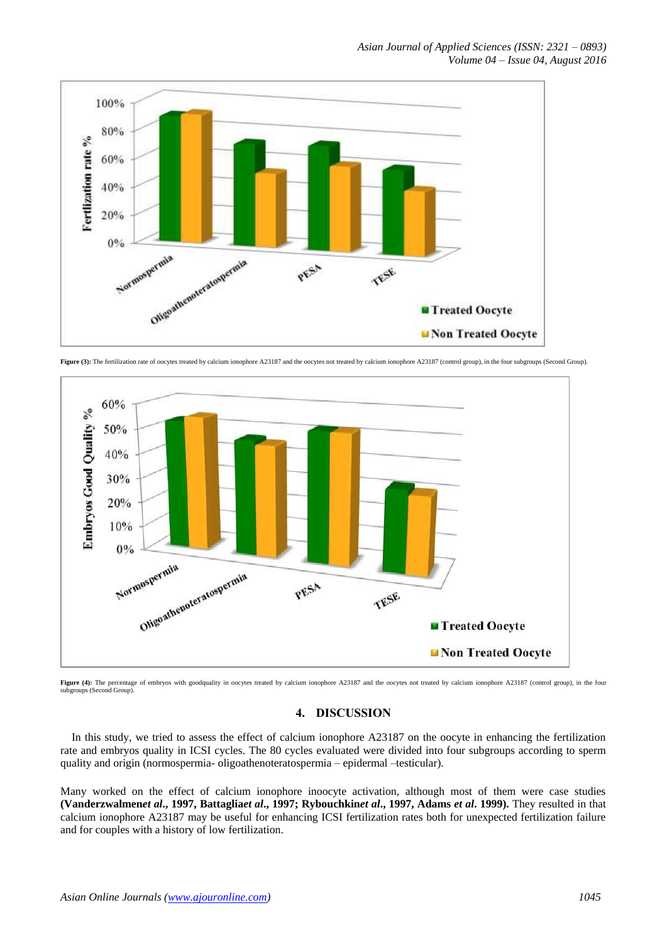

Figure (3): The fertilization rate of oocytes treated by calcium ionophore A23187 and the oocytes not treated by calcium ionophore A23187 (control group), in the four subgroups (Second Group).



Figure (4): The percentage of embryos with goodquality in oocytes treated by calcium ionophore A23187 and the oocytes not treated by calcium ionophore A23187 (control group), in the four subgroups (Second Group)

# **4. DISCUSSION**

 In this study, we tried to assess the effect of calcium ionophore A23187 on the oocyte in enhancing the fertilization rate and embryos quality in ICSI cycles. The 80 cycles evaluated were divided into four subgroups according to sperm quality and origin (normospermia- oligoathenoteratospermia – epidermal –testicular).

Many worked on the effect of calcium ionophore inoocyte activation, although most of them were case studies **(Vanderzwalmen***et al***., 1997, Battaglia***et al***., 1997; Rybouchkin***et al***., 1997, Adams** *et al***. 1999).** They resulted in that calcium ionophore A23187 may be useful for enhancing ICSI fertilization rates both for unexpected fertilization failure and for couples with a history of low fertilization.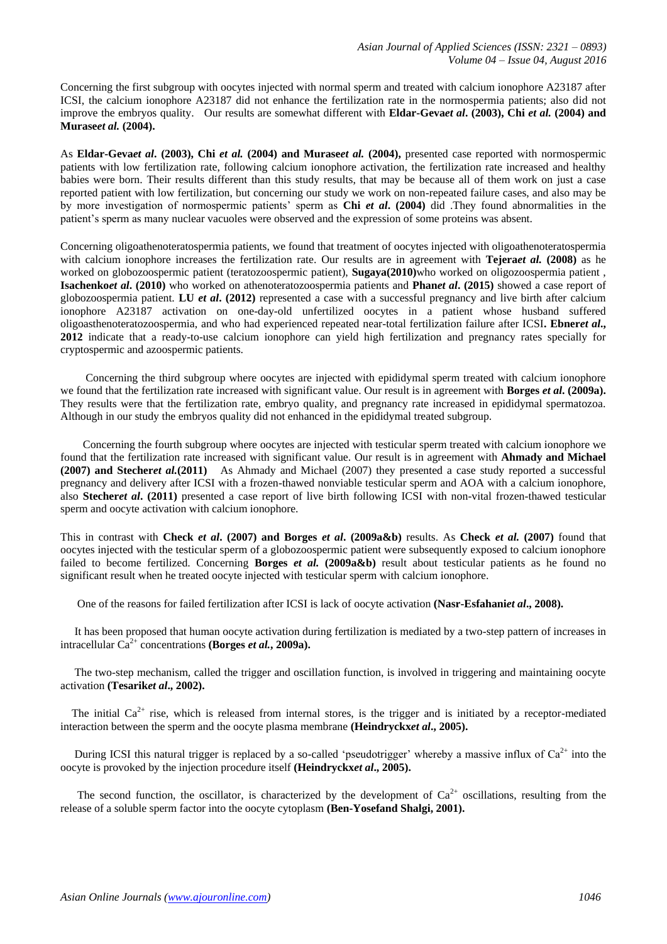Concerning the first subgroup with oocytes injected with normal sperm and treated with calcium ionophore A23187 after ICSI, the calcium ionophore A23187 did not enhance the fertilization rate in the normospermia patients; also did not improve the embryos quality. Our results are somewhat different with **Eldar-Geva***et al***. (2003), Chi** *et al.* **(2004) and Murase***et al.* **(2004).**

As **Eldar-Geva***et al***. (2003), Chi** *et al.* **(2004) and Murase***et al.* **(2004),** presented case reported with normospermic patients with low fertilization rate, following calcium ionophore activation, the fertilization rate increased and healthy babies were born. Their results different than this study results, that may be because all of them work on just a case reported patient with low fertilization, but concerning our study we work on non-repeated failure cases, and also may be by more investigation of normospermic patients" sperm as **Chi** *et al***. (2004)** did .They found abnormalities in the patient"s sperm as many nuclear vacuoles were observed and the expression of some proteins was absent.

Concerning oligoathenoteratospermia patients, we found that treatment of oocytes injected with oligoathenoteratospermia with calcium ionophore increases the fertilization rate. Our results are in agreement with **Tejera***et al.* **(2008)** as he worked on globozoospermic patient (teratozoospermic patient), **Sugaya(2010)**who worked on oligozoospermia patient , **Isachenko***et al***. (2010)** who worked on athenoteratozoospermia patients and **Phan***et al***. (2015)** showed a case report of globozoospermia patient. **LU** *et al***. (2012)** represented a case with a successful pregnancy and live birth after calcium ionophore A23187 activation on one-day-old unfertilized oocytes in a patient whose husband suffered oligoasthenoteratozoospermia, and who had experienced repeated near-total fertilization failure after ICSI**. Ebner***et al***., 2012** indicate that a ready-to-use calcium ionophore can yield high fertilization and pregnancy rates specially for cryptospermic and azoospermic patients.

 Concerning the third subgroup where oocytes are injected with epididymal sperm treated with calcium ionophore we found that the fertilization rate increased with significant value. Our result is in agreement with **Borges** *et al***. (2009a).** They results were that the fertilization rate, embryo quality, and pregnancy rate increased in epididymal spermatozoa. Although in our study the embryos quality did not enhanced in the epididymal treated subgroup.

 Concerning the fourth subgroup where oocytes are injected with testicular sperm treated with calcium ionophore we found that the fertilization rate increased with significant value. Our result is in agreement with **Ahmady and Michael (2007) and Stecher***et al.***(2011)** As Ahmady and Michael (2007) they presented a case study reported a successful pregnancy and delivery after ICSI with a frozen-thawed nonviable testicular sperm and AOA with a calcium ionophore, also **Stecher***et al***. (2011)** presented a case report of live birth following ICSI with non-vital frozen-thawed testicular sperm and oocyte activation with calcium ionophore.

This in contrast with **Check** *et al***. (2007) and Borges** *et al***. (2009a&b)** results. As **Check** *et al.* **(2007)** found that oocytes injected with the testicular sperm of a globozoospermic patient were subsequently exposed to calcium ionophore failed to become fertilized. Concerning **Borges** *et al.* **(2009a&b)** result about testicular patients as he found no significant result when he treated oocyte injected with testicular sperm with calcium ionophore.

One of the reasons for failed fertilization after ICSI is lack of oocyte activation **(Nasr-Esfahani***et al***., 2008).**

 It has been proposed that human oocyte activation during fertilization is mediated by a two-step pattern of increases in intracellular  $Ca^{2+}$  concentrations **(Borges** *et al.***, 2009a).** 

 The two-step mechanism, called the trigger and oscillation function, is involved in triggering and maintaining oocyte activation **(Tesarik***et al***., 2002).**

The initial  $Ca^{2+}$  rise, which is released from internal stores, is the trigger and is initiated by a receptor-mediated interaction between the sperm and the oocyte plasma membrane **(Heindryckx***et al***., 2005).** 

During ICSI this natural trigger is replaced by a so-called 'pseudotrigger' whereby a massive influx of  $Ca<sup>2+</sup>$  into the oocyte is provoked by the injection procedure itself **(Heindryckx***et al***., 2005).**

The second function, the oscillator, is characterized by the development of  $Ca^{2+}$  oscillations, resulting from the release of a soluble sperm factor into the oocyte cytoplasm **(Ben-Yosefand Shalgi, 2001).**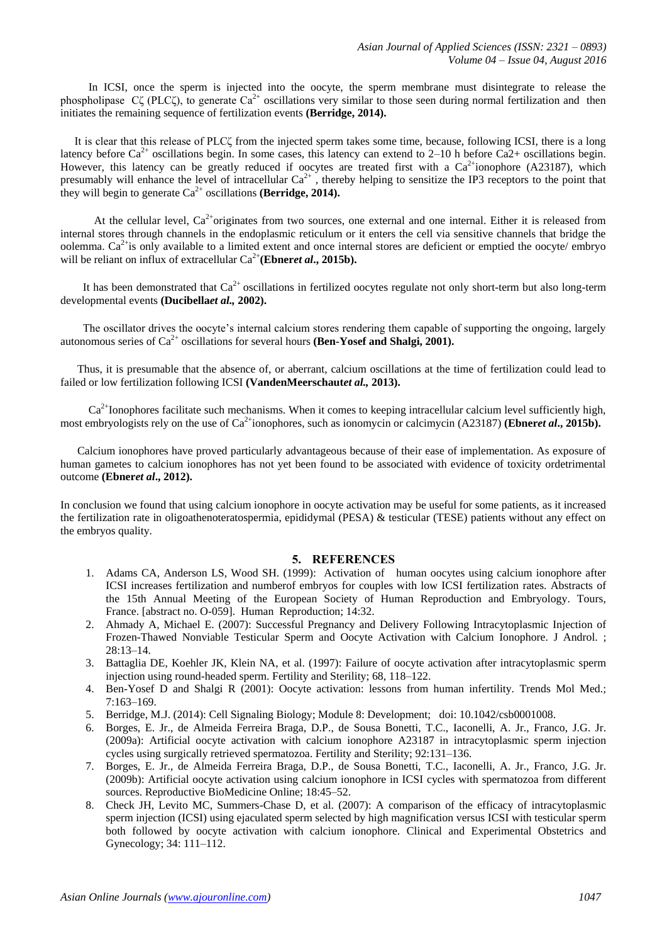In ICSI, once the sperm is injected into the oocyte, the sperm membrane must disintegrate to release the phospholipase Cζ (PLCζ), to generate  $Ca^{2+}$  oscillations very similar to those seen during normal fertilization and then initiates the remaining sequence of fertilization events **(Berridge, 2014).**

 It is clear that this release of PLCζ from the injected sperm takes some time, because, following ICSI, there is a long latency before  $Ca^{2+}$  oscillations begin. In some cases, this latency can extend to 2–10 h before Ca2+ oscillations begin. However, this latency can be greatly reduced if oocytes are treated first with a  $Ca<sup>2+</sup>$ ionophore (A23187), which presumably will enhance the level of intracellular  $Ca^{2+}$ , thereby helping to sensitize the IP3 receptors to the point that they will begin to generate  $Ca^{2+}$  oscillations **(Berridge, 2014).** 

At the cellular level,  $Ca^{2+}$ originates from two sources, one external and one internal. Either it is released from internal stores through channels in the endoplasmic reticulum or it enters the cell via sensitive channels that bridge the oolemma.  $Ca^{2+}$  is only available to a limited extent and once internal stores are deficient or emptied the oocyte/ embryo will be reliant on influx of extracellular  $Ca^{2+}$  (Ebner*et al.*, 2015b).

It has been demonstrated that  $Ca^{2+}$  oscillations in fertilized oocytes regulate not only short-term but also long-term developmental events **(Ducibella***et al.,* **2002).**

The oscillator drives the oocyte's internal calcium stores rendering them capable of supporting the ongoing, largely autonomous series of  $Ca^{2+}$  oscillations for several hours **(Ben-Yosef and Shalgi, 2001).** 

 Thus, it is presumable that the absence of, or aberrant, calcium oscillations at the time of fertilization could lead to failed or low fertilization following ICSI **(VandenMeerschaut***et al.,* **2013).**

 $Ca<sup>2+</sup>$ Ionophores facilitate such mechanisms. When it comes to keeping intracellular calcium level sufficiently high, most embryologists rely on the use of Ca<sup>2+</sup>ionophores, such as ionomycin or calcimycin (A23187) **(Ebner***et al.***, 2015b).** 

 Calcium ionophores have proved particularly advantageous because of their ease of implementation. As exposure of human gametes to calcium ionophores has not yet been found to be associated with evidence of toxicity ordetrimental outcome **(Ebner***et al***., 2012).**

In conclusion we found that using calcium ionophore in oocyte activation may be useful for some patients, as it increased the fertilization rate in oligoathenoteratospermia, epididymal (PESA) & testicular (TESE) patients without any effect on the embryos quality.

#### **5. REFERENCES**

- 1. Adams CA, Anderson LS, Wood SH. (1999): Activation of human oocytes using calcium ionophore after ICSI increases fertilization and numberof embryos for couples with low ICSI fertilization rates. Abstracts of the 15th Annual Meeting of the European Society of Human Reproduction and Embryology. Tours, France. [abstract no. O-059]. Human Reproduction; 14:32.
- 2. Ahmady A, Michael E. (2007): Successful Pregnancy and Delivery Following Intracytoplasmic Injection of Frozen-Thawed Nonviable Testicular Sperm and Oocyte Activation with Calcium Ionophore. J Androl. ; 28:13–14.
- 3. Battaglia DE, Koehler JK, Klein NA, et al. (1997): Failure of oocyte activation after intracytoplasmic sperm injection using round-headed sperm. Fertility and Sterility; 68, 118–122.
- 4. Ben-Yosef D and Shalgi R (2001): Oocyte activation: lessons from human infertility. Trends Mol Med.; 7:163–169.
- 5. Berridge, M.J. (2014): Cell Signaling Biology; Module 8: Development; doi: 10.1042/csb0001008.
- 6. Borges, E. Jr., de Almeida Ferreira Braga, D.P., de Sousa Bonetti, T.C., Iaconelli, A. Jr., Franco, J.G. Jr. (2009a): Artificial oocyte activation with calcium ionophore A23187 in intracytoplasmic sperm injection cycles using surgically retrieved spermatozoa. Fertility and Sterility; 92:131–136.
- 7. Borges, E. Jr., de Almeida Ferreira Braga, D.P., de Sousa Bonetti, T.C., Iaconelli, A. Jr., Franco, J.G. Jr. (2009b): Artificial oocyte activation using calcium ionophore in ICSI cycles with spermatozoa from different sources. Reproductive BioMedicine Online; 18:45–52.
- 8. Check JH, Levito MC, Summers-Chase D, et al. (2007): A comparison of the efficacy of intracytoplasmic sperm injection (ICSI) using ejaculated sperm selected by high magnification versus ICSI with testicular sperm both followed by oocyte activation with calcium ionophore. Clinical and Experimental Obstetrics and Gynecology; 34: 111–112.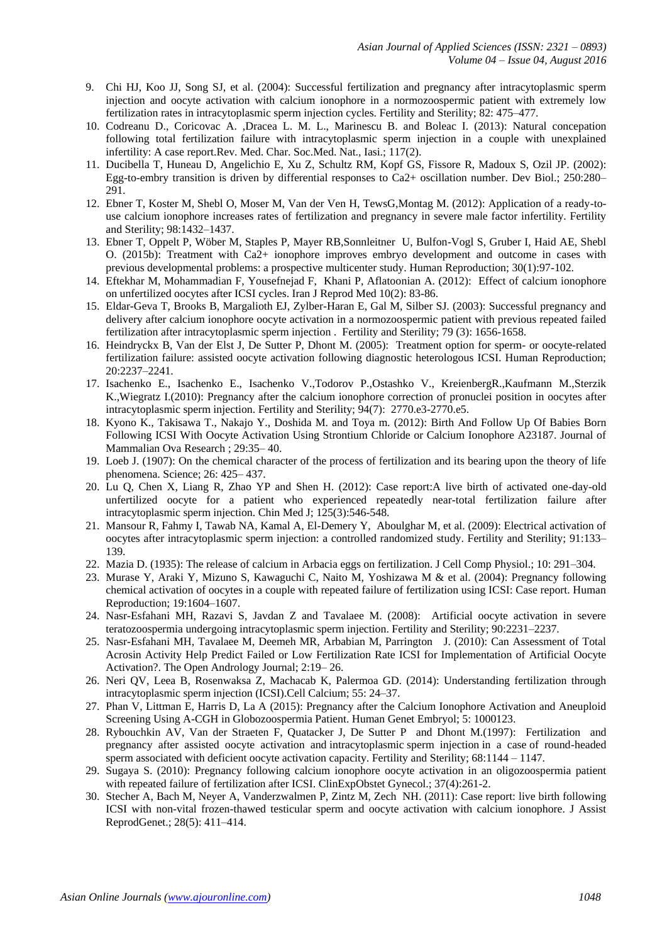- 9. Chi HJ, Koo JJ, Song SJ, et al. (2004): Successful fertilization and pregnancy after intracytoplasmic sperm injection and oocyte activation with calcium ionophore in a normozoospermic patient with extremely low fertilization rates in intracytoplasmic sperm injection cycles. Fertility and Sterility; 82: 475–477.
- 10. Codreanu D., Coricovac A. ,Dracea L. M. L., Marinescu B. and Boleac I. (2013): Natural concepation following total fertilization failure with intracytoplasmic sperm injection in a couple with unexplained infertility: A case report.Rev. Med. Char. Soc.Med. Nat., Iasi.; 117(2).
- 11. Ducibella T, Huneau D, Angelichio E, Xu Z, Schultz RM, Kopf GS, Fissore R, Madoux S, Ozil JP. (2002): Egg-to-embry transition is driven by differential responses to Ca2+ oscillation number. Dev Biol.; 250:280– 291.
- 12. Ebner T, Koster M, Shebl O, Moser M, Van der Ven H, TewsG,Montag M. (2012): Application of a ready-touse calcium ionophore increases rates of fertilization and pregnancy in severe male factor infertility. Fertility and Sterility; 98:1432–1437.
- 13. Ebner T, Oppelt P, Wöber M, Staples P, Mayer RB,Sonnleitner U, Bulfon-Vogl S, Gruber I, Haid AE, Shebl O. (2015b): Treatment with Ca2+ ionophore improves embryo development and outcome in cases with previous developmental problems: a prospective multicenter study. Human Reproduction; 30(1):97-102.
- 14. Eftekhar M, Mohammadian F, Yousefnejad F, Khani P, Aflatoonian A. (2012): Effect of calcium ionophore on unfertilized oocytes after ICSI cycles. Iran J Reprod Med 10(2): 83-86.
- 15. Eldar-Geva T, Brooks B, Margalioth EJ, Zylber-Haran E, Gal M, Silber SJ. (2003): Successful pregnancy and delivery after calcium ionophore oocyte activation in a normozoospermic patient with previous repeated failed fertilization after intracytoplasmic sperm injection . Fertility and Sterility; 79 (3): 1656-1658.
- 16. Heindryckx B, Van der Elst J, De Sutter P, Dhont M. (2005): Treatment option for sperm- or oocyte-related fertilization failure: assisted oocyte activation following diagnostic heterologous ICSI. Human Reproduction; 20:2237–2241.
- 17. Isachenko E., Isachenko E., Isachenko V.,Todorov P.,Ostashko V., KreienbergR.,Kaufmann M.,Sterzik K.,Wiegratz I.(2010): Pregnancy after the calcium ionophore correction of pronuclei position in oocytes after intracytoplasmic sperm injection. Fertility and Sterility; 94(7): 2770.e3-2770.e5.
- 18. Kyono K., Takisawa T., Nakajo Y., Doshida M. and Toya m. (2012): Birth And Follow Up Of Babies Born Following ICSI With Oocyte Activation Using Strontium Chloride or Calcium Ionophore A23187. Journal of Mammalian Ova Research ; 29:35– 40.
- 19. Loeb J. (1907): On the chemical character of the process of fertilization and its bearing upon the theory of life phenomena. Science; 26: 425– 437.
- 20. Lu Q, Chen X, Liang R, Zhao YP and Shen H. (2012): Case report:A live birth of activated one-day-old unfertilized oocyte for a patient who experienced repeatedly near-total fertilization failure after intracytoplasmic sperm injection. Chin Med J; 125(3):546-548.
- 21. Mansour R, Fahmy I, Tawab NA, Kamal A, El-Demery Y, Aboulghar M, et al. (2009): Electrical activation of oocytes after intracytoplasmic sperm injection: a controlled randomized study. Fertility and Sterility; 91:133– 139.
- 22. Mazia D. (1935): The release of calcium in Arbacia eggs on fertilization. J Cell Comp Physiol.; 10: 291–304.
- 23. Murase Y, Araki Y, Mizuno S, Kawaguchi C, Naito M, Yoshizawa M & et al. (2004): Pregnancy following chemical activation of oocytes in a couple with repeated failure of fertilization using ICSI: Case report. Human Reproduction; 19:1604–1607.
- 24. Nasr-Esfahani MH, Razavi S, Javdan Z and Tavalaee M. (2008): Artificial oocyte activation in severe teratozoospermia undergoing intracytoplasmic sperm injection. Fertility and Sterility; 90:2231–2237.
- 25. Nasr-Esfahani MH, Tavalaee M, Deemeh MR, Arbabian M, Parrington J. (2010): Can Assessment of Total Acrosin Activity Help Predict Failed or Low Fertilization Rate ICSI for Implementation of Artificial Oocyte Activation?. The Open Andrology Journal; 2:19– 26.
- 26. Neri QV, Leea B, Rosenwaksa Z, Machacab K, Palermoa GD. (2014): Understanding fertilization through intracytoplasmic sperm injection (ICSI).Cell Calcium; 55: 24–37.
- 27. Phan V, Littman E, Harris D, La A (2015): Pregnancy after the Calcium Ionophore Activation and Aneuploid Screening Using A-CGH in Globozoospermia Patient. Human Genet Embryol; 5: 1000123.
- 28. Rybouchkin AV, Van der Straeten F, Quatacker J, De Sutter P and Dhont M.(1997): Fertilization and pregnancy after assisted oocyte activation and intracytoplasmic sperm injection in a case of round-headed sperm associated with deficient oocyte activation capacity. Fertility and Sterility; 68:1144 – 1147.
- 29. Sugaya S. (2010): Pregnancy following calcium ionophore oocyte activation in an oligozoospermia patient with repeated failure of fertilization after ICSI. ClinExpObstet Gynecol.; 37(4):261-2.
- 30. Stecher A, Bach M, Neyer A, Vanderzwalmen P, Zintz M, Zech NH. (2011): Case report: live birth following ICSI with non-vital frozen-thawed testicular sperm and oocyte activation with calcium ionophore. J Assist ReprodGenet.; 28(5): 411–414.